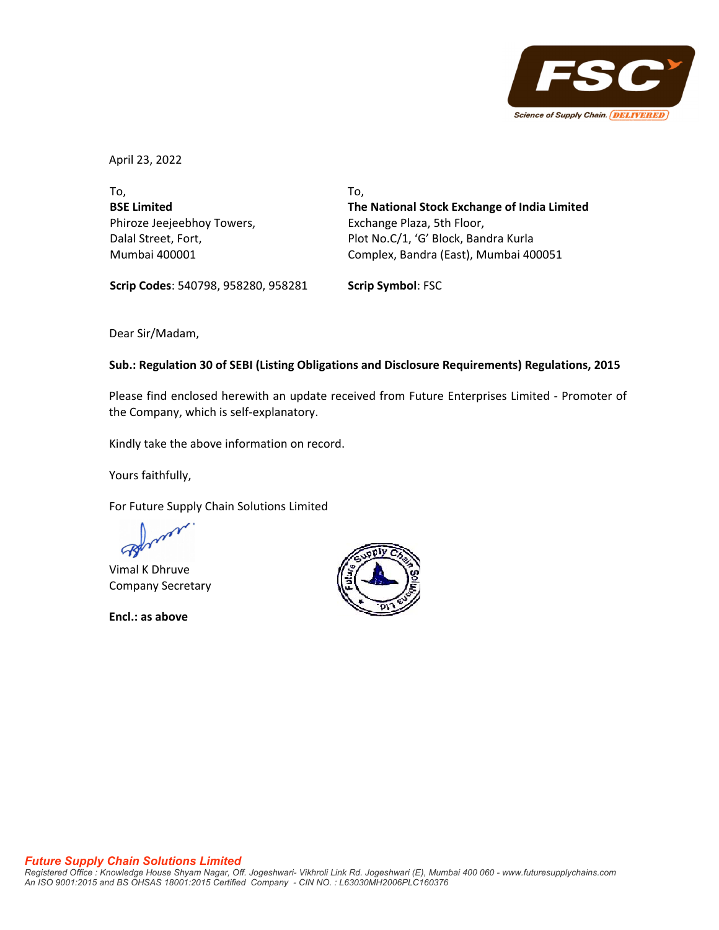

April 23, 2022

To, **BSE Limited** Phiroze Jeejeebhoy Towers, Dalal Street, Fort, Mumbai 400001

To, **The National Stock Exchange of India Limited** Exchange Plaza, 5th Floor, Plot No.C/1, 'G' Block, Bandra Kurla Complex, Bandra (East), Mumbai 400051

**Scrip Codes**: 540798, 958280, 958281 **Scrip Symbol**: FSC

Dear Sir/Madam,

### **Sub.: Regulation 30 of SEBI (Listing Obligations and Disclosure Requirements) Regulations, 2015**

Please find enclosed herewith an update received from Future Enterprises Limited ‐ Promoter of the Company, which is self‐explanatory.

Kindly take the above information on record.

Yours faithfully,

For Future Supply Chain Solutions Limited

Vimal K Dhruve Company Secretary

**Encl.: as above**

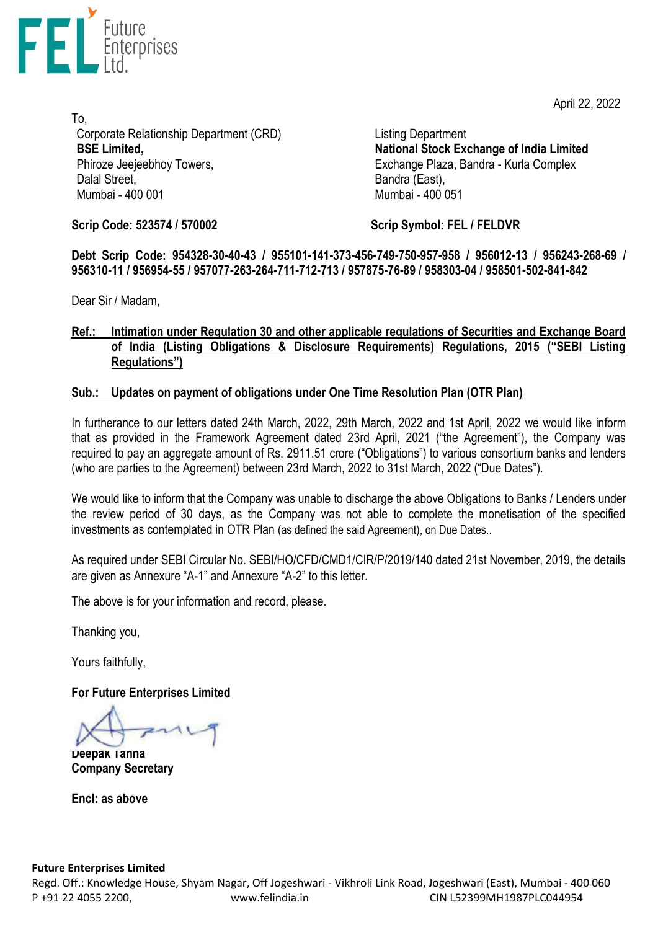April 22, 2022



To, Corporate Relationship Department (CRD) **BSE Limited,** Phiroze Jeejeebhoy Towers, Dalal Street. Mumbai - 400 001

Listing Department **National Stock Exchange of India Limited** Exchange Plaza, Bandra - Kurla Complex Bandra (East), Mumbai - 400 051

**Scrip Code: 523574 / 570002**

**Scrip Symbol: FEL / FELDVR**

**Debt Scrip Code: 954328-30-40-43 / 955101-141-373-456-749-750-957-958 / 956012-13 / 956243-268-69 / 956310-11 / 956954-55 / 957077-263-264-711-712-713 / 957875-76-89 / 958303-04 / 958501-502-841-842**

Dear Sir / Madam,

# **Ref.: Intimation under Regulation 30 and other applicable regulations of Securities and Exchange Board of India (Listing Obligations & Disclosure Requirements) Regulations, 2015 ("SEBI Listing Regulations")**

# **Sub.: Updates on payment of obligations under One Time Resolution Plan (OTR Plan)**

In furtherance to our letters dated 24th March, 2022, 29th March, 2022 and 1st April, 2022 we would like inform that as provided in the Framework Agreement dated 23rd April, 2021 ("the Agreement"), the Company was required to pay an aggregate amount of Rs. 2911.51 crore ("Obligations") to various consortium banks and lenders (who are parties to the Agreement) between 23rd March, 2022 to 31st March, 2022 ("Due Dates").

We would like to inform that the Company was unable to discharge the above Obligations to Banks / Lenders under the review period of 30 days, as the Company was not able to complete the monetisation of the specified investments as contemplated in OTR Plan (as defined the said Agreement), on Due Dates..

As required under SEBI Circular No. SEBI/HO/CFD/CMD1/CIR/P/2019/140 dated 21st November, 2019, the details are given as Annexure "A-1" and Annexure "A-2" to this letter.

The above is for your information and record, please.

Thanking you,

Yours faithfully,

**For Future Enterprises Limited**

**Deepak Tanna Company Secretary**

**Encl: as above**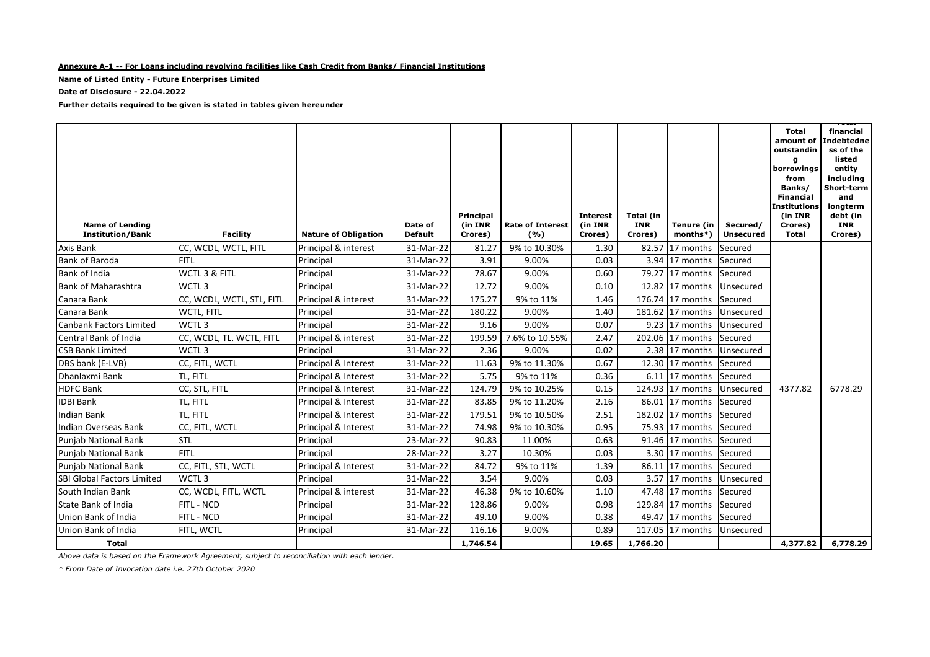#### **Annexure A-1 -- For Loans including revolving facilities like Cash Credit from Banks/ Financial Institutions**

**Name of Listed Entity - Future Enterprises Limited**

**Date of Disclosure - 22.04.2022**

**Further details required to be given is stated in tables given hereunder**

| 9% to 10.30%<br>CC, WCDL, WCTL, FITL<br>31-Mar-22<br>81.27<br>1.30<br>82.57<br>Axis Bank<br>Principal & interest<br>17 months<br>Secured<br>FITL<br>3.91<br>9.00%<br>0.03<br><b>Bank of Baroda</b><br>Principal<br>31-Mar-22<br>3.94 17 months<br>Secured<br>78.67<br>Bank of India<br>WCTL 3 & FITL<br>9.00%<br>0.60<br>Principal<br>31-Mar-22<br>79.27<br>17 months<br>Secured<br>WCTL <sub>3</sub><br>12.72<br>9.00%<br><b>Bank of Maharashtra</b><br>Principal<br>31-Mar-22<br>0.10<br>12.82 17 months<br>Unsecured<br>CC, WCDL, WCTL, STL, FITL<br>175.27<br>Canara Bank<br>Principal & interest<br>31-Mar-22<br>9% to 11%<br>1.46<br>176.74 17 months<br>Secured<br>180.22<br>Canara Bank<br>31-Mar-22<br>9.00%<br>1.40<br>181.62 17 months<br>WCTL, FITL<br>Principal<br>Unsecured<br><b>Canbank Factors Limited</b><br>WCTL <sub>3</sub><br>9.16<br>9.00%<br>0.07<br>Principal<br>31-Mar-22<br>9.23 17 months<br>Unsecured<br>CC, WCDL, TL. WCTL, FITL<br>199.59<br>7.6% to 10.55%<br>2.47<br>Central Bank of India<br>Principal & interest<br>31-Mar-22<br>202.06 17 months<br>Secured<br>WCTL <sub>3</sub><br>31-Mar-22<br>2.36<br>9.00%<br>0.02<br><b>CSB Bank Limited</b><br>2.38 17 months<br>Principal<br>Unsecured<br>31-Mar-22<br>11.63<br>9% to 11.30%<br>0.67<br>DBS bank (E-LVB)<br>CC, FITL, WCTL<br>Principal & Interest<br>12.30 17 months<br>Secured<br>TL, FITL<br>5.75<br>0.36<br>Dhanlaxmi Bank<br>Principal & Interest<br>31-Mar-22<br>9% to 11%<br>$6.11$ 17 months<br>Secured<br>124.79<br>4377.82<br>6778.29<br><b>HDFC Bank</b><br>CC, STL, FITL<br>Principal & Interest<br>31-Mar-22<br>9% to 10.25%<br>0.15<br>124.93 17 months<br>Unsecured<br><b>IDBI Bank</b><br>TL, FITL<br>Principal & Interest<br>31-Mar-22<br>83.85<br>9% to 11.20%<br>2.16<br>86.01 17 months<br>Secured<br><b>Indian Bank</b><br>TL, FITL<br>Principal & Interest<br>31-Mar-22<br>179.51<br>9% to 10.50%<br>2.51<br>182.02 17 months<br>Secured<br><b>Indian Overseas Bank</b><br>CC, FITL, WCTL<br>74.98<br>9% to 10.30%<br>0.95<br>Principal & Interest<br>31-Mar-22<br>75.93 17 months<br>Secured<br><b>STL</b><br>23-Mar-22<br>90.83<br>11.00%<br>0.63<br>91.46 17 months<br><b>Punjab National Bank</b><br>Principal<br>Secured<br>FITL<br>28-Mar-22<br>3.27<br>10.30%<br>0.03<br>3.30 17 months<br>Punjab National Bank<br>Principal<br>Secured<br>CC, FITL, STL, WCTL<br>84.72<br>9% to 11%<br><b>Punjab National Bank</b><br>Principal & Interest<br>31-Mar-22<br>1.39<br>86.11<br>17 months<br>Secured<br>WCTL <sub>3</sub><br>9.00%<br>3.54<br>0.03<br><b>SBI Global Factors Limited</b><br>31-Mar-22<br>3.57 17 months<br>Unsecured<br>Principal<br>9% to 10.60%<br>South Indian Bank<br>CC, WCDL, FITL, WCTL<br>Principal & interest<br>31-Mar-22<br>46.38<br>1.10<br>47.48 17 months<br>Secured<br>FITL - NCD<br>128.86<br>31-Mar-22<br>9.00%<br>0.98<br>129.84 17 months<br>State Bank of India<br>Principal<br>Secured<br>FITL - NCD<br>31-Mar-22<br>49.10<br>9.00%<br>0.38<br>Union Bank of India<br>Principal<br>49.47 17 months<br>Secured<br>116.16<br>Union Bank of India<br>FITL, WCTL<br>31-Mar-22<br>9.00%<br>0.89<br>117.05 17 months<br>Unsecured<br>Principal<br><b>Total</b><br>1,746.54<br>19.65<br>1,766.20<br>4,377.82 | <b>Name of Lending</b><br><b>Institution/Bank</b> | Facility | <b>Nature of Obligation</b> | Date of<br><b>Default</b> | Principal<br>(in INR<br>Crores) | <b>Rate of Interest</b><br>(%) | <b>Interest</b><br>(in INR<br>Crores) | Total (in<br><b>INR</b><br>Crores) | Tenure (in<br>$months*$ ) | Secured/<br><b>Unsecured</b> | <b>Total</b><br>amount of<br>outstandin<br>q<br>borrowings<br>from<br>Banks/<br><b>Financial</b><br>Institutions<br>(in INR<br>Crores)<br><b>Total</b> | financial<br>Indebtedne<br>ss of the<br>listed<br>entity<br>including<br>Short-term<br>and<br>longterm<br>debt (in<br><b>INR</b><br>Crores) |
|----------------------------------------------------------------------------------------------------------------------------------------------------------------------------------------------------------------------------------------------------------------------------------------------------------------------------------------------------------------------------------------------------------------------------------------------------------------------------------------------------------------------------------------------------------------------------------------------------------------------------------------------------------------------------------------------------------------------------------------------------------------------------------------------------------------------------------------------------------------------------------------------------------------------------------------------------------------------------------------------------------------------------------------------------------------------------------------------------------------------------------------------------------------------------------------------------------------------------------------------------------------------------------------------------------------------------------------------------------------------------------------------------------------------------------------------------------------------------------------------------------------------------------------------------------------------------------------------------------------------------------------------------------------------------------------------------------------------------------------------------------------------------------------------------------------------------------------------------------------------------------------------------------------------------------------------------------------------------------------------------------------------------------------------------------------------------------------------------------------------------------------------------------------------------------------------------------------------------------------------------------------------------------------------------------------------------------------------------------------------------------------------------------------------------------------------------------------------------------------------------------------------------------------------------------------------------------------------------------------------------------------------------------------------------------------------------------------------------------------------------------------------------------------------------------------------------------------------------------------------------------------------------------------------------------------------------------------------------------------------------------------------------------------------------------------------------------------------------------------------------------------------------------------------------------------------------------------------------------------------------------------|---------------------------------------------------|----------|-----------------------------|---------------------------|---------------------------------|--------------------------------|---------------------------------------|------------------------------------|---------------------------|------------------------------|--------------------------------------------------------------------------------------------------------------------------------------------------------|---------------------------------------------------------------------------------------------------------------------------------------------|
|                                                                                                                                                                                                                                                                                                                                                                                                                                                                                                                                                                                                                                                                                                                                                                                                                                                                                                                                                                                                                                                                                                                                                                                                                                                                                                                                                                                                                                                                                                                                                                                                                                                                                                                                                                                                                                                                                                                                                                                                                                                                                                                                                                                                                                                                                                                                                                                                                                                                                                                                                                                                                                                                                                                                                                                                                                                                                                                                                                                                                                                                                                                                                                                                                                                                |                                                   |          |                             |                           |                                 |                                |                                       |                                    |                           |                              |                                                                                                                                                        |                                                                                                                                             |
|                                                                                                                                                                                                                                                                                                                                                                                                                                                                                                                                                                                                                                                                                                                                                                                                                                                                                                                                                                                                                                                                                                                                                                                                                                                                                                                                                                                                                                                                                                                                                                                                                                                                                                                                                                                                                                                                                                                                                                                                                                                                                                                                                                                                                                                                                                                                                                                                                                                                                                                                                                                                                                                                                                                                                                                                                                                                                                                                                                                                                                                                                                                                                                                                                                                                |                                                   |          |                             |                           |                                 |                                |                                       |                                    |                           |                              |                                                                                                                                                        |                                                                                                                                             |
|                                                                                                                                                                                                                                                                                                                                                                                                                                                                                                                                                                                                                                                                                                                                                                                                                                                                                                                                                                                                                                                                                                                                                                                                                                                                                                                                                                                                                                                                                                                                                                                                                                                                                                                                                                                                                                                                                                                                                                                                                                                                                                                                                                                                                                                                                                                                                                                                                                                                                                                                                                                                                                                                                                                                                                                                                                                                                                                                                                                                                                                                                                                                                                                                                                                                |                                                   |          |                             |                           |                                 |                                |                                       |                                    |                           |                              |                                                                                                                                                        |                                                                                                                                             |
|                                                                                                                                                                                                                                                                                                                                                                                                                                                                                                                                                                                                                                                                                                                                                                                                                                                                                                                                                                                                                                                                                                                                                                                                                                                                                                                                                                                                                                                                                                                                                                                                                                                                                                                                                                                                                                                                                                                                                                                                                                                                                                                                                                                                                                                                                                                                                                                                                                                                                                                                                                                                                                                                                                                                                                                                                                                                                                                                                                                                                                                                                                                                                                                                                                                                |                                                   |          |                             |                           |                                 |                                |                                       |                                    |                           |                              |                                                                                                                                                        |                                                                                                                                             |
|                                                                                                                                                                                                                                                                                                                                                                                                                                                                                                                                                                                                                                                                                                                                                                                                                                                                                                                                                                                                                                                                                                                                                                                                                                                                                                                                                                                                                                                                                                                                                                                                                                                                                                                                                                                                                                                                                                                                                                                                                                                                                                                                                                                                                                                                                                                                                                                                                                                                                                                                                                                                                                                                                                                                                                                                                                                                                                                                                                                                                                                                                                                                                                                                                                                                |                                                   |          |                             |                           |                                 |                                |                                       |                                    |                           |                              |                                                                                                                                                        |                                                                                                                                             |
|                                                                                                                                                                                                                                                                                                                                                                                                                                                                                                                                                                                                                                                                                                                                                                                                                                                                                                                                                                                                                                                                                                                                                                                                                                                                                                                                                                                                                                                                                                                                                                                                                                                                                                                                                                                                                                                                                                                                                                                                                                                                                                                                                                                                                                                                                                                                                                                                                                                                                                                                                                                                                                                                                                                                                                                                                                                                                                                                                                                                                                                                                                                                                                                                                                                                |                                                   |          |                             |                           |                                 |                                |                                       |                                    |                           |                              |                                                                                                                                                        |                                                                                                                                             |
|                                                                                                                                                                                                                                                                                                                                                                                                                                                                                                                                                                                                                                                                                                                                                                                                                                                                                                                                                                                                                                                                                                                                                                                                                                                                                                                                                                                                                                                                                                                                                                                                                                                                                                                                                                                                                                                                                                                                                                                                                                                                                                                                                                                                                                                                                                                                                                                                                                                                                                                                                                                                                                                                                                                                                                                                                                                                                                                                                                                                                                                                                                                                                                                                                                                                |                                                   |          |                             |                           |                                 |                                |                                       |                                    |                           |                              |                                                                                                                                                        |                                                                                                                                             |
|                                                                                                                                                                                                                                                                                                                                                                                                                                                                                                                                                                                                                                                                                                                                                                                                                                                                                                                                                                                                                                                                                                                                                                                                                                                                                                                                                                                                                                                                                                                                                                                                                                                                                                                                                                                                                                                                                                                                                                                                                                                                                                                                                                                                                                                                                                                                                                                                                                                                                                                                                                                                                                                                                                                                                                                                                                                                                                                                                                                                                                                                                                                                                                                                                                                                |                                                   |          |                             |                           |                                 |                                |                                       |                                    |                           |                              |                                                                                                                                                        |                                                                                                                                             |
|                                                                                                                                                                                                                                                                                                                                                                                                                                                                                                                                                                                                                                                                                                                                                                                                                                                                                                                                                                                                                                                                                                                                                                                                                                                                                                                                                                                                                                                                                                                                                                                                                                                                                                                                                                                                                                                                                                                                                                                                                                                                                                                                                                                                                                                                                                                                                                                                                                                                                                                                                                                                                                                                                                                                                                                                                                                                                                                                                                                                                                                                                                                                                                                                                                                                |                                                   |          |                             |                           |                                 |                                |                                       |                                    |                           |                              |                                                                                                                                                        |                                                                                                                                             |
|                                                                                                                                                                                                                                                                                                                                                                                                                                                                                                                                                                                                                                                                                                                                                                                                                                                                                                                                                                                                                                                                                                                                                                                                                                                                                                                                                                                                                                                                                                                                                                                                                                                                                                                                                                                                                                                                                                                                                                                                                                                                                                                                                                                                                                                                                                                                                                                                                                                                                                                                                                                                                                                                                                                                                                                                                                                                                                                                                                                                                                                                                                                                                                                                                                                                |                                                   |          |                             |                           |                                 |                                |                                       |                                    |                           |                              |                                                                                                                                                        |                                                                                                                                             |
|                                                                                                                                                                                                                                                                                                                                                                                                                                                                                                                                                                                                                                                                                                                                                                                                                                                                                                                                                                                                                                                                                                                                                                                                                                                                                                                                                                                                                                                                                                                                                                                                                                                                                                                                                                                                                                                                                                                                                                                                                                                                                                                                                                                                                                                                                                                                                                                                                                                                                                                                                                                                                                                                                                                                                                                                                                                                                                                                                                                                                                                                                                                                                                                                                                                                |                                                   |          |                             |                           |                                 |                                |                                       |                                    |                           |                              |                                                                                                                                                        |                                                                                                                                             |
|                                                                                                                                                                                                                                                                                                                                                                                                                                                                                                                                                                                                                                                                                                                                                                                                                                                                                                                                                                                                                                                                                                                                                                                                                                                                                                                                                                                                                                                                                                                                                                                                                                                                                                                                                                                                                                                                                                                                                                                                                                                                                                                                                                                                                                                                                                                                                                                                                                                                                                                                                                                                                                                                                                                                                                                                                                                                                                                                                                                                                                                                                                                                                                                                                                                                |                                                   |          |                             |                           |                                 |                                |                                       |                                    |                           |                              |                                                                                                                                                        |                                                                                                                                             |
|                                                                                                                                                                                                                                                                                                                                                                                                                                                                                                                                                                                                                                                                                                                                                                                                                                                                                                                                                                                                                                                                                                                                                                                                                                                                                                                                                                                                                                                                                                                                                                                                                                                                                                                                                                                                                                                                                                                                                                                                                                                                                                                                                                                                                                                                                                                                                                                                                                                                                                                                                                                                                                                                                                                                                                                                                                                                                                                                                                                                                                                                                                                                                                                                                                                                |                                                   |          |                             |                           |                                 |                                |                                       |                                    |                           |                              |                                                                                                                                                        |                                                                                                                                             |
|                                                                                                                                                                                                                                                                                                                                                                                                                                                                                                                                                                                                                                                                                                                                                                                                                                                                                                                                                                                                                                                                                                                                                                                                                                                                                                                                                                                                                                                                                                                                                                                                                                                                                                                                                                                                                                                                                                                                                                                                                                                                                                                                                                                                                                                                                                                                                                                                                                                                                                                                                                                                                                                                                                                                                                                                                                                                                                                                                                                                                                                                                                                                                                                                                                                                |                                                   |          |                             |                           |                                 |                                |                                       |                                    |                           |                              |                                                                                                                                                        |                                                                                                                                             |
|                                                                                                                                                                                                                                                                                                                                                                                                                                                                                                                                                                                                                                                                                                                                                                                                                                                                                                                                                                                                                                                                                                                                                                                                                                                                                                                                                                                                                                                                                                                                                                                                                                                                                                                                                                                                                                                                                                                                                                                                                                                                                                                                                                                                                                                                                                                                                                                                                                                                                                                                                                                                                                                                                                                                                                                                                                                                                                                                                                                                                                                                                                                                                                                                                                                                |                                                   |          |                             |                           |                                 |                                |                                       |                                    |                           |                              |                                                                                                                                                        |                                                                                                                                             |
|                                                                                                                                                                                                                                                                                                                                                                                                                                                                                                                                                                                                                                                                                                                                                                                                                                                                                                                                                                                                                                                                                                                                                                                                                                                                                                                                                                                                                                                                                                                                                                                                                                                                                                                                                                                                                                                                                                                                                                                                                                                                                                                                                                                                                                                                                                                                                                                                                                                                                                                                                                                                                                                                                                                                                                                                                                                                                                                                                                                                                                                                                                                                                                                                                                                                |                                                   |          |                             |                           |                                 |                                |                                       |                                    |                           |                              |                                                                                                                                                        |                                                                                                                                             |
|                                                                                                                                                                                                                                                                                                                                                                                                                                                                                                                                                                                                                                                                                                                                                                                                                                                                                                                                                                                                                                                                                                                                                                                                                                                                                                                                                                                                                                                                                                                                                                                                                                                                                                                                                                                                                                                                                                                                                                                                                                                                                                                                                                                                                                                                                                                                                                                                                                                                                                                                                                                                                                                                                                                                                                                                                                                                                                                                                                                                                                                                                                                                                                                                                                                                |                                                   |          |                             |                           |                                 |                                |                                       |                                    |                           |                              |                                                                                                                                                        |                                                                                                                                             |
|                                                                                                                                                                                                                                                                                                                                                                                                                                                                                                                                                                                                                                                                                                                                                                                                                                                                                                                                                                                                                                                                                                                                                                                                                                                                                                                                                                                                                                                                                                                                                                                                                                                                                                                                                                                                                                                                                                                                                                                                                                                                                                                                                                                                                                                                                                                                                                                                                                                                                                                                                                                                                                                                                                                                                                                                                                                                                                                                                                                                                                                                                                                                                                                                                                                                |                                                   |          |                             |                           |                                 |                                |                                       |                                    |                           |                              |                                                                                                                                                        |                                                                                                                                             |
|                                                                                                                                                                                                                                                                                                                                                                                                                                                                                                                                                                                                                                                                                                                                                                                                                                                                                                                                                                                                                                                                                                                                                                                                                                                                                                                                                                                                                                                                                                                                                                                                                                                                                                                                                                                                                                                                                                                                                                                                                                                                                                                                                                                                                                                                                                                                                                                                                                                                                                                                                                                                                                                                                                                                                                                                                                                                                                                                                                                                                                                                                                                                                                                                                                                                |                                                   |          |                             |                           |                                 |                                |                                       |                                    |                           |                              |                                                                                                                                                        |                                                                                                                                             |
|                                                                                                                                                                                                                                                                                                                                                                                                                                                                                                                                                                                                                                                                                                                                                                                                                                                                                                                                                                                                                                                                                                                                                                                                                                                                                                                                                                                                                                                                                                                                                                                                                                                                                                                                                                                                                                                                                                                                                                                                                                                                                                                                                                                                                                                                                                                                                                                                                                                                                                                                                                                                                                                                                                                                                                                                                                                                                                                                                                                                                                                                                                                                                                                                                                                                |                                                   |          |                             |                           |                                 |                                |                                       |                                    |                           |                              |                                                                                                                                                        |                                                                                                                                             |
|                                                                                                                                                                                                                                                                                                                                                                                                                                                                                                                                                                                                                                                                                                                                                                                                                                                                                                                                                                                                                                                                                                                                                                                                                                                                                                                                                                                                                                                                                                                                                                                                                                                                                                                                                                                                                                                                                                                                                                                                                                                                                                                                                                                                                                                                                                                                                                                                                                                                                                                                                                                                                                                                                                                                                                                                                                                                                                                                                                                                                                                                                                                                                                                                                                                                |                                                   |          |                             |                           |                                 |                                |                                       |                                    |                           |                              |                                                                                                                                                        |                                                                                                                                             |
|                                                                                                                                                                                                                                                                                                                                                                                                                                                                                                                                                                                                                                                                                                                                                                                                                                                                                                                                                                                                                                                                                                                                                                                                                                                                                                                                                                                                                                                                                                                                                                                                                                                                                                                                                                                                                                                                                                                                                                                                                                                                                                                                                                                                                                                                                                                                                                                                                                                                                                                                                                                                                                                                                                                                                                                                                                                                                                                                                                                                                                                                                                                                                                                                                                                                |                                                   |          |                             |                           |                                 |                                |                                       |                                    |                           |                              |                                                                                                                                                        |                                                                                                                                             |
|                                                                                                                                                                                                                                                                                                                                                                                                                                                                                                                                                                                                                                                                                                                                                                                                                                                                                                                                                                                                                                                                                                                                                                                                                                                                                                                                                                                                                                                                                                                                                                                                                                                                                                                                                                                                                                                                                                                                                                                                                                                                                                                                                                                                                                                                                                                                                                                                                                                                                                                                                                                                                                                                                                                                                                                                                                                                                                                                                                                                                                                                                                                                                                                                                                                                |                                                   |          |                             |                           |                                 |                                |                                       |                                    |                           |                              |                                                                                                                                                        |                                                                                                                                             |
|                                                                                                                                                                                                                                                                                                                                                                                                                                                                                                                                                                                                                                                                                                                                                                                                                                                                                                                                                                                                                                                                                                                                                                                                                                                                                                                                                                                                                                                                                                                                                                                                                                                                                                                                                                                                                                                                                                                                                                                                                                                                                                                                                                                                                                                                                                                                                                                                                                                                                                                                                                                                                                                                                                                                                                                                                                                                                                                                                                                                                                                                                                                                                                                                                                                                |                                                   |          |                             |                           |                                 |                                |                                       |                                    |                           |                              |                                                                                                                                                        | 6,778.29                                                                                                                                    |

*Above data is based on the Framework Agreement, subject to reconciliation with each lender.*

*\* From Date of Invocation date i.e. 27th October 2020*